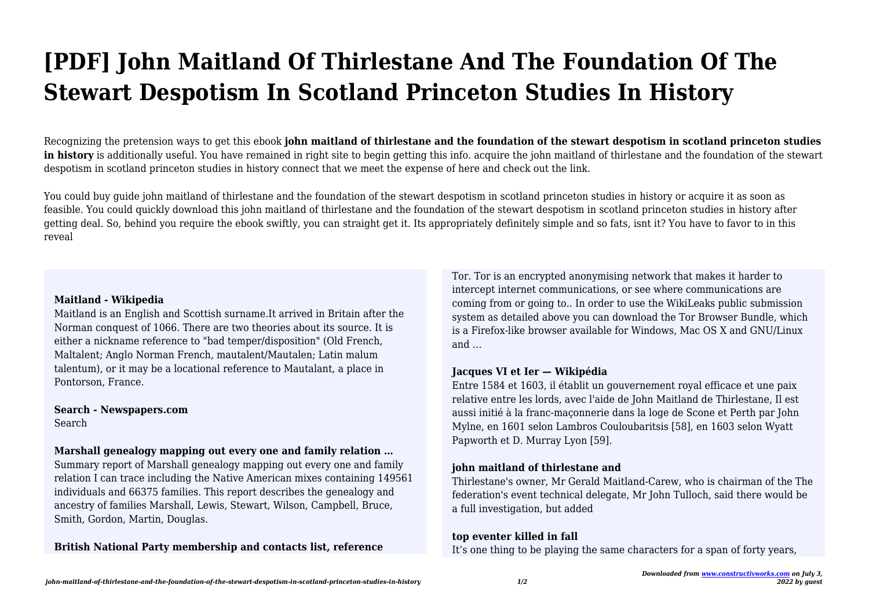# **[PDF] John Maitland Of Thirlestane And The Foundation Of The Stewart Despotism In Scotland Princeton Studies In History**

Recognizing the pretension ways to get this ebook **john maitland of thirlestane and the foundation of the stewart despotism in scotland princeton studies in history** is additionally useful. You have remained in right site to begin getting this info. acquire the john maitland of thirlestane and the foundation of the stewart despotism in scotland princeton studies in history connect that we meet the expense of here and check out the link.

You could buy guide john maitland of thirlestane and the foundation of the stewart despotism in scotland princeton studies in history or acquire it as soon as feasible. You could quickly download this john maitland of thirlestane and the foundation of the stewart despotism in scotland princeton studies in history after getting deal. So, behind you require the ebook swiftly, you can straight get it. Its appropriately definitely simple and so fats, isnt it? You have to favor to in this reveal

#### **Maitland - Wikipedia**

Maitland is an English and Scottish surname.It arrived in Britain after the Norman conquest of 1066. There are two theories about its source. It is either a nickname reference to "bad temper/disposition" (Old French, Maltalent; Anglo Norman French, mautalent/Mautalen; Latin malum talentum), or it may be a locational reference to Mautalant, a place in Pontorson, France.

**Search - Newspapers.com** Search

## **Marshall genealogy mapping out every one and family relation …**

Summary report of Marshall genealogy mapping out every one and family relation I can trace including the Native American mixes containing 149561 individuals and 66375 families. This report describes the genealogy and ancestry of families Marshall, Lewis, Stewart, Wilson, Campbell, Bruce, Smith, Gordon, Martin, Douglas.

**British National Party membership and contacts list, reference**

Tor. Tor is an encrypted anonymising network that makes it harder to intercept internet communications, or see where communications are coming from or going to.. In order to use the WikiLeaks public submission system as detailed above you can download the Tor Browser Bundle, which is a Firefox-like browser available for Windows, Mac OS X and GNU/Linux and …

### **Jacques VI et Ier — Wikipédia**

Entre 1584 et 1603, il établit un gouvernement royal efficace et une paix relative entre les lords, avec l'aide de John Maitland de Thirlestane, Il est aussi initié à la franc-maçonnerie dans la loge de Scone et Perth par John Mylne, en 1601 selon Lambros Couloubaritsis [58], en 1603 selon Wyatt Papworth et D. Murray Lyon [59].

### **john maitland of thirlestane and**

Thirlestane's owner, Mr Gerald Maitland-Carew, who is chairman of the The federation's event technical delegate, Mr John Tulloch, said there would be a full investigation, but added

### **top eventer killed in fall**

It's one thing to be playing the same characters for a span of forty years,